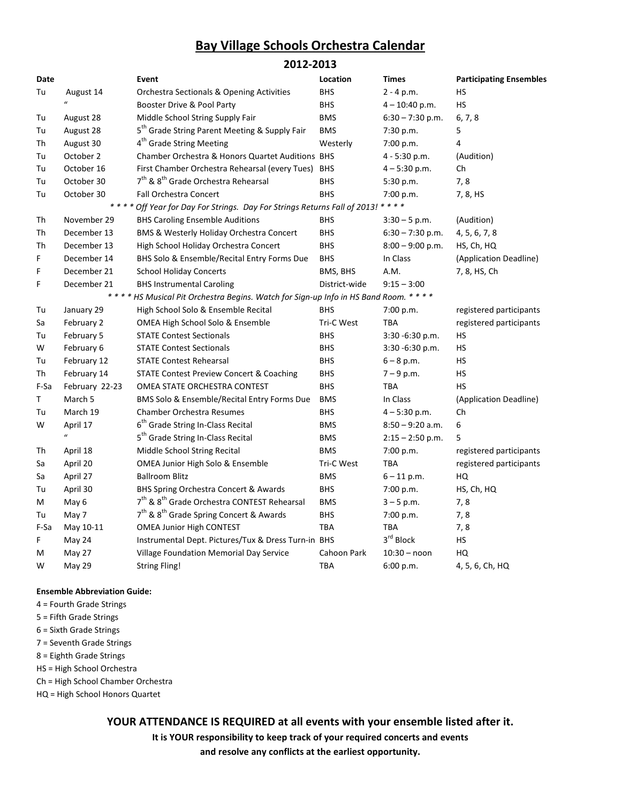# Bay Village Schools Orchestra Calendar

### 2012-2013

| Date |                  | Event                                                                              | Location      | <b>Times</b>       | <b>Participating Ensembles</b> |
|------|------------------|------------------------------------------------------------------------------------|---------------|--------------------|--------------------------------|
| Tu   | August 14        | <b>Orchestra Sectionals &amp; Opening Activities</b>                               | <b>BHS</b>    | $2 - 4 p.m.$       | HS                             |
|      | $\mathbf{u}$     | Booster Drive & Pool Party                                                         | <b>BHS</b>    | $4 - 10:40$ p.m.   | <b>HS</b>                      |
| Tu   | August 28        | Middle School String Supply Fair                                                   | <b>BMS</b>    | $6:30 - 7:30$ p.m. | 6, 7, 8                        |
| Tu   | August 28        | 5 <sup>th</sup> Grade String Parent Meeting & Supply Fair                          | <b>BMS</b>    | 7:30 p.m.          | 5                              |
| Тh   | August 30        | 4 <sup>th</sup> Grade String Meeting                                               | Westerly      | 7:00 p.m.          | 4                              |
| Tu   | October 2        | <b>Chamber Orchestra &amp; Honors Quartet Auditions BHS</b>                        |               | 4 - 5:30 p.m.      | (Audition)                     |
| Tu   | October 16       | First Chamber Orchestra Rehearsal (every Tues) BHS                                 |               | $4 - 5:30$ p.m.    | Ch                             |
| Tu   | October 30       | 7 <sup>th</sup> & 8 <sup>th</sup> Grade Orchestra Rehearsal                        | <b>BHS</b>    | 5:30 p.m.          | 7,8                            |
| Tu   | October 30       | Fall Orchestra Concert                                                             | <b>BHS</b>    | 7:00 p.m.          | 7, 8, HS                       |
|      | * * * *          | Off Year for Day For Strings. Day For Strings Returns Fall of 2013!                |               | * * * *            |                                |
| Th   | November 29      | <b>BHS Caroling Ensemble Auditions</b>                                             | <b>BHS</b>    | $3:30 - 5$ p.m.    | (Audition)                     |
| Th   | December 13      | BMS & Westerly Holiday Orchestra Concert                                           | <b>BHS</b>    | $6:30 - 7:30$ p.m. | 4, 5, 6, 7, 8                  |
| Th   | December 13      | High School Holiday Orchestra Concert                                              | <b>BHS</b>    | $8:00 - 9:00$ p.m. | HS, Ch, HQ                     |
| F    | December 14      | BHS Solo & Ensemble/Recital Entry Forms Due                                        | <b>BHS</b>    | In Class           | (Application Deadline)         |
| F.   | December 21      | <b>School Holiday Concerts</b>                                                     | BMS, BHS      | A.M.               | 7, 8, HS, Ch                   |
| F    | December 21      | <b>BHS Instrumental Caroling</b>                                                   | District-wide | $9:15 - 3:00$      |                                |
|      |                  | **** HS Musical Pit Orchestra Begins. Watch for Sign-up Info in HS Band Room. **** |               |                    |                                |
| Tu   | January 29       | High School Solo & Ensemble Recital                                                | <b>BHS</b>    | 7:00 p.m.          | registered participants        |
| Sa   | February 2       | OMEA High School Solo & Ensemble                                                   | Tri-C West    | <b>TBA</b>         | registered participants        |
| Tu   | February 5       | <b>STATE Contest Sectionals</b>                                                    | <b>BHS</b>    | $3:30 - 6:30 p.m.$ | НS                             |
| W    | February 6       | <b>STATE Contest Sectionals</b>                                                    | <b>BHS</b>    | 3:30 -6:30 p.m.    | HS                             |
| Tu   | February 12      | <b>STATE Contest Rehearsal</b>                                                     | <b>BHS</b>    | $6 - 8$ p.m.       | НS                             |
| Th   | February 14      | <b>STATE Contest Preview Concert &amp; Coaching</b>                                | <b>BHS</b>    | $7 - 9$ p.m.       | НS                             |
| F-Sa | February 22-23   | OMEA STATE ORCHESTRA CONTEST                                                       | <b>BHS</b>    | <b>TBA</b>         | <b>HS</b>                      |
| Τ    | March 5          | BMS Solo & Ensemble/Recital Entry Forms Due                                        | <b>BMS</b>    | In Class           | (Application Deadline)         |
| Tu   | March 19         | <b>Chamber Orchestra Resumes</b>                                                   | <b>BHS</b>    | $4 - 5:30$ p.m.    | Ch                             |
| W    | April 17         | 6 <sup>th</sup> Grade String In-Class Recital                                      | <b>BMS</b>    | $8:50 - 9:20$ a.m. | 6                              |
|      | $\boldsymbol{u}$ | 5 <sup>th</sup> Grade String In-Class Recital                                      | <b>BMS</b>    | $2:15 - 2:50$ p.m. | 5                              |
| Th   | April 18         | Middle School String Recital                                                       | <b>BMS</b>    | 7:00 p.m.          | registered participants        |
| Sa   | April 20         | OMEA Junior High Solo & Ensemble                                                   | Tri-C West    | TBA                | registered participants        |
| Sa   | April 27         | <b>Ballroom Blitz</b>                                                              | <b>BMS</b>    | $6 - 11$ p.m.      | HQ                             |
| Tu   | April 30         | BHS Spring Orchestra Concert & Awards                                              | <b>BHS</b>    | 7:00 p.m.          | HS, Ch, HQ                     |
| М    | May 6            | 7 <sup>th</sup> & 8 <sup>th</sup> Grade Orchestra CONTEST Rehearsal                | <b>BMS</b>    | $3 - 5$ p.m.       | 7,8                            |
| Tu   | May 7            | 7 <sup>th</sup> & 8 <sup>th</sup> Grade Spring Concert & Awards                    | <b>BHS</b>    | 7:00 p.m.          | 7,8                            |
| F-Sa | May 10-11        | <b>OMEA Junior High CONTEST</b>                                                    | <b>TBA</b>    | TBA                | 7,8                            |
| F    | May 24           | Instrumental Dept. Pictures/Tux & Dress Turn-in BHS                                |               | 3rd Block          | HS                             |
| M    | May 27           | Village Foundation Memorial Day Service                                            | Cahoon Park   | $10:30 - noon$     | HQ                             |
| W    | May 29           | <b>String Fling!</b>                                                               | TBA           | 6:00 p.m.          | 4, 5, 6, Ch, HQ                |

#### Ensemble Abbreviation Guide:

- 4 = Fourth Grade Strings
- 5 = Fifth Grade Strings
- 6 = Sixth Grade Strings
- 7 = Seventh Grade Strings
- 8 = Eighth Grade Strings
- HS = High School Orchestra
- Ch = High School Chamber Orchestra
- HQ = High School Honors Quartet

YOUR ATTENDANCE IS REQUIRED at all events with your ensemble listed after it.

It is YOUR responsibility to keep track of your required concerts and events

and resolve any conflicts at the earliest opportunity.